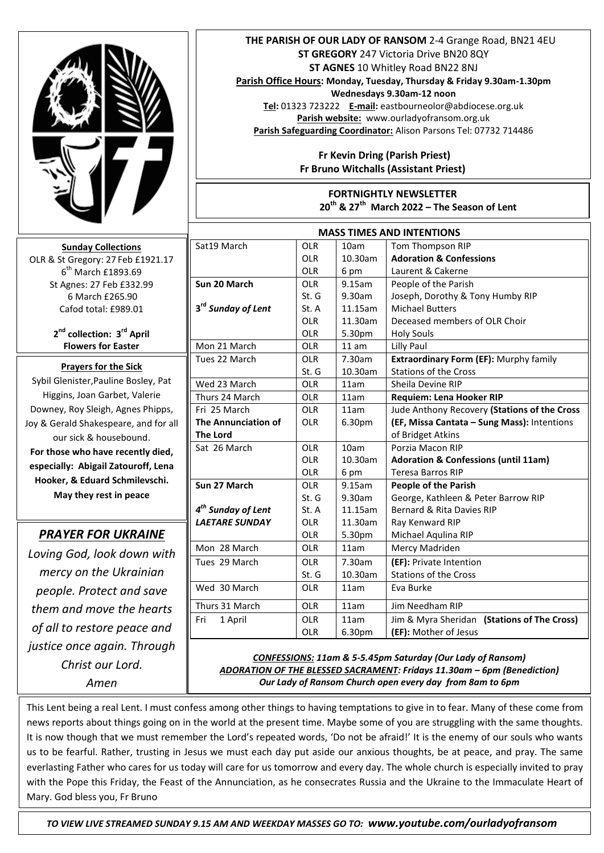

**Sunday Collections** OLR & St Gregory: 27 Feb £1921.17 6<sup>th</sup> March £1893.69 St Agnes: 27 Feb £332.99 6 March £265.90 Cafod total: £989.01

> **2 nd collection: 3 rd April Flowers for Easter**

# **Prayers for the Sick**

Sybil Glenister,Pauline Bosley, Pat Higgins, Joan Garbet, Valerie Downey, Roy Sleigh, Agnes Phipps, Joy & Gerald Shakespeare, and for all our sick & housebound. **For those who have recently died, especially: Abigail Zatouroff, Lena Hooker, & Eduard Schmilevschi. May they rest in peace** 

## *PRAYER FOR UKRAINE*

*Loving God, look down with mercy on the Ukrainian people. Protect and save them and move the hearts of all to restore peace and justice once again. Through Christ our Lord. Amen*

#### **THE PARISH OF OUR LADY OF RANSOM** 2-4 Grange Road, BN21 4EU **ST GREGORY** 247 Victoria Drive BN20 8QY **ST AGNES** 10 Whitley Road BN22 8NJ

**Parish Office Hours: Monday, Tuesday, Thursday & Friday 9.30am-1.30pm** 

**Wednesdays 9.30am-12 noon**

**Tel:** 01323 723222 **E-mail:** eastbourneolor@abdiocese.org.uk **Parish website:** [www.ourladyofransom.org.uk](http://www.ourladyofransom.org.uk/) **Parish Safeguarding Coordinator:** Alison Parsons Tel: 07732 714486

### **Fr Kevin Dring (Parish Priest) Fr Bruno Witchalls (Assistant Priest)**

**FORTNIGHTLY NEWSLETTER 20th & 27th March 2022 – The Season of Lent**

| <b>MASS TIMES AND INTENTIONS</b> |            |           |                                                 |
|----------------------------------|------------|-----------|-------------------------------------------------|
| Sat19 March                      | <b>OLR</b> | 10am      | Tom Thompson RIP                                |
|                                  | <b>OLR</b> | 10.30am   | <b>Adoration &amp; Confessions</b>              |
|                                  | <b>OLR</b> | 6 pm      | Laurent & Cakerne                               |
| Sun 20 March                     | OIR        | $9.15$ am | People of the Parish                            |
|                                  | St. G      | 9.30am    | Joseph, Dorothy & Tony Humby RIP                |
| 3 <sup>rd</sup> Sunday of Lent   | St. A      | 11.15am   | <b>Michael Butters</b>                          |
|                                  | <b>OLR</b> | 11.30am   | Deceased members of OLR Choir                   |
|                                  | <b>OLR</b> | 5.30pm    | <b>Holy Souls</b>                               |
| Mon 21 March                     | <b>OLR</b> | 11 am     | Lilly Paul                                      |
| Tues 22 March                    | <b>OLR</b> | 7.30am    | Extraordinary Form (EF): Murphy family          |
|                                  | St. G      | 10.30am   | <b>Stations of the Cross</b>                    |
| Wed 23 March                     | <b>OLR</b> | 11am      | Sheila Devine RIP                               |
| Thurs 24 March                   | <b>OLR</b> | 11am      | <b>Requiem: Lena Hooker RIP</b>                 |
| Fri 25 March                     | <b>OLR</b> | 11am      | Jude Anthony Recovery (Stations of the Cross    |
| The Annunciation of              | <b>OLR</b> | 6.30pm    | (EF, Missa Cantata - Sung Mass): Intentions     |
| <b>The Lord</b>                  |            |           | of Bridget Atkins                               |
| Sat 26 March                     | <b>OLR</b> | 10am      | Porzia Macon RIP                                |
|                                  | <b>OLR</b> | 10.30am   | <b>Adoration &amp; Confessions (until 11am)</b> |
|                                  | <b>OLR</b> | 6 pm      | <b>Teresa Barros RIP</b>                        |
| Sun 27 March                     | <b>OLR</b> | 9.15am    | <b>People of the Parish</b>                     |
|                                  | St. G      | 9.30am    | George, Kathleen & Peter Barrow RIP             |
| $4th$ Sunday of Lent             | St. A      | 11.15am   | Bernard & Rita Davies RIP                       |
| <b>LAETARE SUNDAY</b>            | <b>OLR</b> | 11.30am   | Ray Kenward RIP                                 |
|                                  | <b>OLR</b> | 5.30pm    | Michael Aqulina RIP                             |
| Mon 28 March                     | <b>OLR</b> | 11am      | Mercy Madriden                                  |
| Tues 29 March                    | <b>OLR</b> | 7.30am    | (EF): Private Intention                         |
|                                  | St. G      | 10.30am   | <b>Stations of the Cross</b>                    |
| Wed 30 March                     | <b>OLR</b> | 11am      | Eva Burke                                       |
| Thurs 31 March                   | <b>OLR</b> | 11am      | Jim Needham RIP                                 |
| 1 April<br>Fri                   | <b>OLR</b> | 11am      | Jim & Myra Sheridan (Stations of The Cross)     |
|                                  | <b>OLR</b> | 6.30pm    | (EF): Mother of Jesus                           |

#### *CONFESSIONS: 11am & 5-5.45pm Saturday (Our Lady of Ransom) ADORATION OF THE BLESSED SACRAMENT: Fridays 11.30am – 6pm (Benediction) Our Lady of Ransom Church open every day from 8am to 6pm*

This Lent being a real Lent. I must confess among other things to having temptations to give in to fear. Many of these come from news reports about things going on in the world at the present time. Maybe some of you are struggling with the same thoughts. It is now though that we must remember the Lord's repeated words, 'Do not be afraid!' It is the enemy of our souls who wants us to be fearful. Rather, trusting in Jesus we must each day put aside our anxious thoughts, be at peace, and pray. The same everlasting Father who cares for us today will care for us tomorrow and every day. The whole church is especially invited to pray with the Pope this Friday, the Feast of the Annunciation, as he consecrates Russia and the Ukraine to the Immaculate Heart of Mary. God bless you, Fr Bruno

 *TO VIEW LIVE STREAMED SUNDAY 9.15 AM AND WEEKDAY MASSES GO TO: www.youtube.com/ourladyofransom*